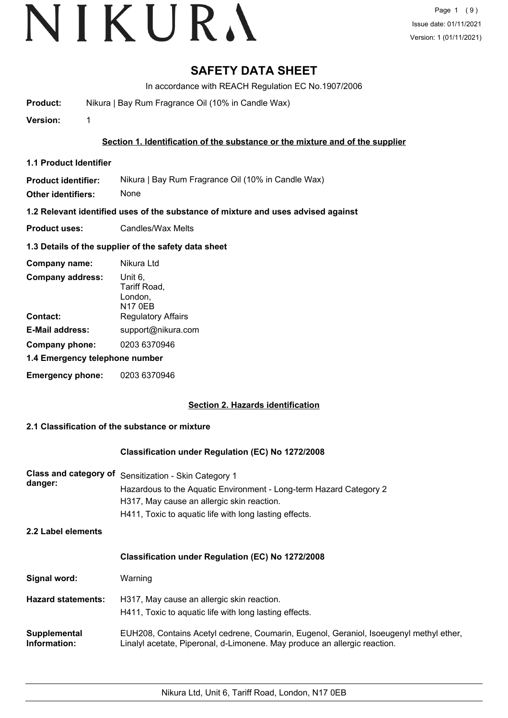# **SAFETY DATA SHEET**

In accordance with REACH Regulation EC No.1907/2006

**Product:** Nikura | Bay Rum Fragrance Oil (10% in Candle Wax)

**Version:** 1

# **Section 1. Identification of the substance or the mixture and of the supplier**

**1.1 Product Identifier**

**Product identifier:** Nikura | Bay Rum Fragrance Oil (10% in Candle Wax)

**Other identifiers:** None

**1.2 Relevant identified uses of the substance of mixture and uses advised against**

**Product uses:** Candles/Wax Melts

# **1.3 Details of the supplier of the safety data sheet**

| Company name:                  | Nikura Ltd                                           |
|--------------------------------|------------------------------------------------------|
| <b>Company address:</b>        | Unit 6,<br>Tariff Road,<br>London,<br><b>N17 0EB</b> |
| Contact:                       | <b>Regulatory Affairs</b>                            |
| <b>E-Mail address:</b>         | support@nikura.com                                   |
| Company phone:                 | 0203 6370946                                         |
| 1.4 Emergency telephone number |                                                      |
| <b>Emergency phone:</b>        | 0203 6370946                                         |

# **Section 2. Hazards identification**

# **2.1 Classification of the substance or mixture**

# **Classification under Regulation (EC) No 1272/2008**

| <b>Class and category of</b><br>danger:<br>2.2 Label elements | Sensitization - Skin Category 1<br>Hazardous to the Aquatic Environment - Long-term Hazard Category 2<br>H317, May cause an allergic skin reaction.<br>H411, Toxic to aquatic life with long lasting effects. |
|---------------------------------------------------------------|---------------------------------------------------------------------------------------------------------------------------------------------------------------------------------------------------------------|
|                                                               | <b>Classification under Regulation (EC) No 1272/2008</b>                                                                                                                                                      |
| Signal word:<br><b>Hazard statements:</b>                     | Warning<br>H317, May cause an allergic skin reaction.<br>H411, Toxic to aquatic life with long lasting effects.                                                                                               |
| Supplemental<br>Information:                                  | EUH208, Contains Acetyl cedrene, Coumarin, Eugenol, Geraniol, Isoeugenyl methyl ether,<br>Linalyl acetate, Piperonal, d-Limonene. May produce an allergic reaction.                                           |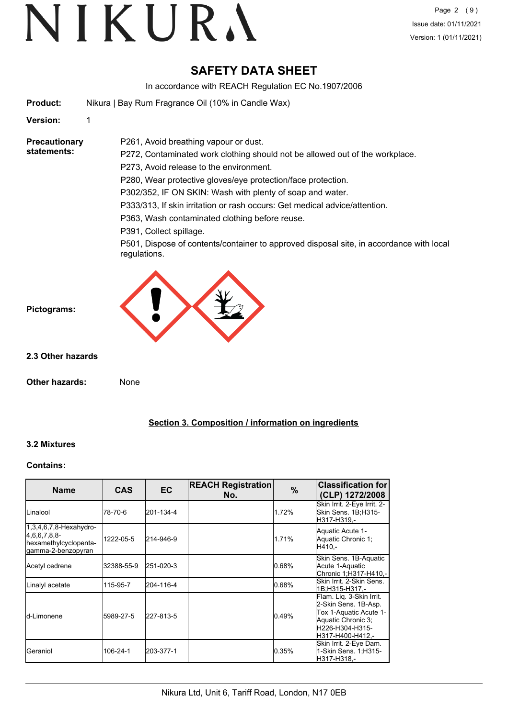# **SAFETY DATA SHEET**

In accordance with REACH Regulation EC No.1907/2006

| Nikura   Bay Rum Fragrance Oil (10% in Candle Wax) |
|----------------------------------------------------|
|                                                    |

**Version:** 1

**Precautionary statements:**

P272, Contaminated work clothing should not be allowed out of the workplace.

P273, Avoid release to the environment.

P261, Avoid breathing vapour or dust.

P280, Wear protective gloves/eye protection/face protection.

P302/352, IF ON SKIN: Wash with plenty of soap and water.

P333/313, If skin irritation or rash occurs: Get medical advice/attention.

P363, Wash contaminated clothing before reuse.

P391, Collect spillage.

P501, Dispose of contents/container to approved disposal site, in accordance with local regulations.



**Pictograms:**

**2.3 Other hazards**

**Other hazards:** None

# **Section 3. Composition / information on ingredients**

# **3.2 Mixtures**

# **Contains:**

| <b>Name</b>                                                                                | <b>CAS</b> | EC        | <b>REACH Registration</b><br>No. | $\%$  | <b>Classification for</b><br>(CLP) 1272/2008                                                                                             |
|--------------------------------------------------------------------------------------------|------------|-----------|----------------------------------|-------|------------------------------------------------------------------------------------------------------------------------------------------|
| Linalool                                                                                   | 78-70-6    | 201-134-4 |                                  | 1.72% | Skin Irrit. 2-Eye Irrit. 2-<br>Skin Sens. 1B;H315-<br>H317-H319.-                                                                        |
| $1,3,4,6,7,8$ -Hexahydro-<br>[4,6,6,7,8,8]<br>hexamethylcyclopenta-<br>lgamma-2-benzopyran | 1222-05-5  | 214-946-9 |                                  | 1.71% | Aquatic Acute 1-<br>Aquatic Chronic 1;<br>H410.-                                                                                         |
| Acetyl cedrene                                                                             | 32388-55-9 | 251-020-3 |                                  | 0.68% | Skin Sens. 1B-Aquatic<br>Acute 1-Aquatic<br>Chronic 1:H317-H410.-                                                                        |
| Linalyl acetate                                                                            | 115-95-7   | 204-116-4 |                                  | 0.68% | Skin Irrit, 2-Skin Sens.<br>1B;H315-H317,-                                                                                               |
| <b>l</b> d-Limonene                                                                        | 5989-27-5  | 227-813-5 |                                  | 0.49% | Flam. Lig. 3-Skin Irrit.<br>2-Skin Sens. 1B-Asp.<br>Tox 1-Aquatic Acute 1-<br>Aquatic Chronic 3;<br>lH226-H304-H315-<br>H317-H400-H412.- |
| IGeraniol                                                                                  | 106-24-1   | 203-377-1 |                                  | 0.35% | Skin Irrit. 2-Eye Dam.<br>1-Skin Sens. 1;H315-<br>H317-H318,-                                                                            |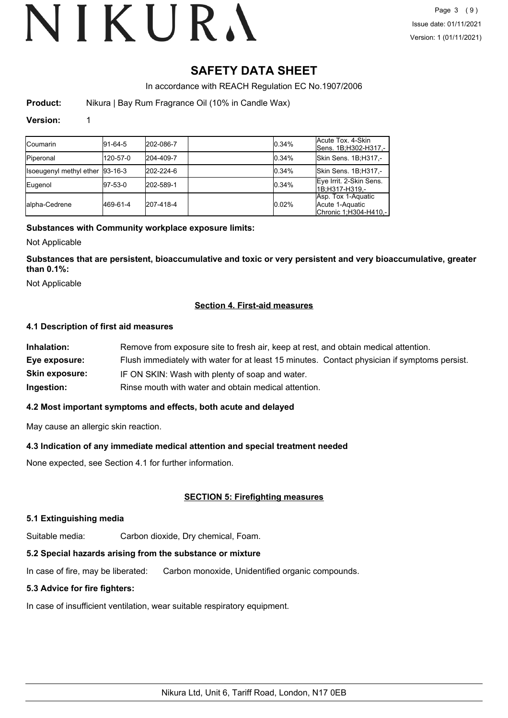# **SAFETY DATA SHEET**

In accordance with REACH Regulation EC No.1907/2006

**Product:** Nikura | Bay Rum Fragrance Oil (10% in Candle Wax)

# **Version:** 1

| <b>Coumarin</b>                 | $ 91-64-5 $ | 202-086-7 | 0.34% | Acute Tox. 4-Skin<br>Sens. 1B;H302-H317.-                      |
|---------------------------------|-------------|-----------|-------|----------------------------------------------------------------|
| <b>Piperonal</b>                | 120-57-0    | 204-409-7 | 0.34% | Skin Sens. 1B;H317,-                                           |
| Isoeugenyl methyl ether 93-16-3 |             | 202-224-6 | 0.34% | Skin Sens. 1B;H317,-                                           |
| Eugenol                         | 97-53-0     | 202-589-1 | 0.34% | Eye Irrit. 2-Skin Sens.<br>1B;H317-H319,-                      |
| lalpha-Cedrene                  | 469-61-4    | 207-418-4 | 0.02% | Asp. Tox 1-Aquatic<br>Acute 1-Aquatic<br>Chronic 1:H304-H410 - |

# **Substances with Community workplace exposure limits:**

Not Applicable

**Substances that are persistent, bioaccumulative and toxic or very persistent and very bioaccumulative, greater than 0.1%:**

Not Applicable

# **Section 4. First-aid measures**

# **4.1 Description of first aid measures**

| Inhalation:           | Remove from exposure site to fresh air, keep at rest, and obtain medical attention.          |
|-----------------------|----------------------------------------------------------------------------------------------|
| Eye exposure:         | Flush immediately with water for at least 15 minutes. Contact physician if symptoms persist. |
| <b>Skin exposure:</b> | IF ON SKIN: Wash with plenty of soap and water.                                              |
| Ingestion:            | Rinse mouth with water and obtain medical attention.                                         |

# **4.2 Most important symptoms and effects, both acute and delayed**

May cause an allergic skin reaction.

# **4.3 Indication of any immediate medical attention and special treatment needed**

None expected, see Section 4.1 for further information.

# **SECTION 5: Firefighting measures**

# **5.1 Extinguishing media**

Suitable media: Carbon dioxide, Dry chemical, Foam.

# **5.2 Special hazards arising from the substance or mixture**

In case of fire, may be liberated: Carbon monoxide, Unidentified organic compounds.

# **5.3 Advice for fire fighters:**

In case of insufficient ventilation, wear suitable respiratory equipment.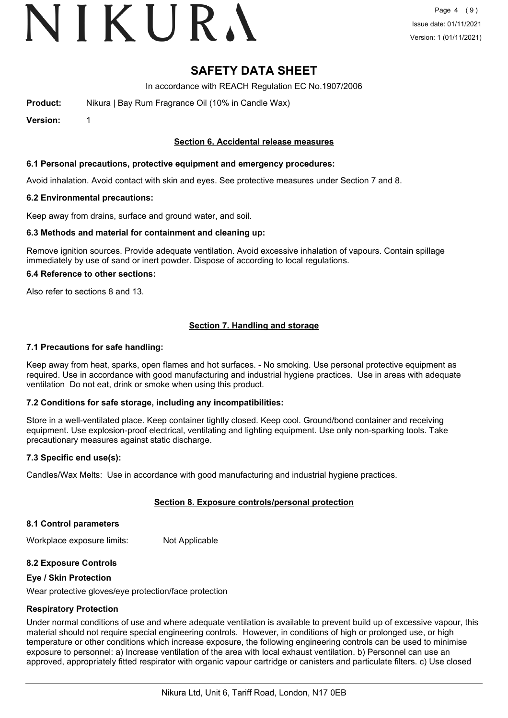# VIKURA

# **SAFETY DATA SHEET**

In accordance with REACH Regulation EC No.1907/2006

**Product:** Nikura | Bay Rum Fragrance Oil (10% in Candle Wax)

**Version:** 1

# **Section 6. Accidental release measures**

## **6.1 Personal precautions, protective equipment and emergency procedures:**

Avoid inhalation. Avoid contact with skin and eyes. See protective measures under Section 7 and 8.

### **6.2 Environmental precautions:**

Keep away from drains, surface and ground water, and soil.

### **6.3 Methods and material for containment and cleaning up:**

Remove ignition sources. Provide adequate ventilation. Avoid excessive inhalation of vapours. Contain spillage immediately by use of sand or inert powder. Dispose of according to local regulations.

### **6.4 Reference to other sections:**

Also refer to sections 8 and 13.

# **Section 7. Handling and storage**

### **7.1 Precautions for safe handling:**

Keep away from heat, sparks, open flames and hot surfaces. - No smoking. Use personal protective equipment as required. Use in accordance with good manufacturing and industrial hygiene practices. Use in areas with adequate ventilation Do not eat, drink or smoke when using this product.

# **7.2 Conditions for safe storage, including any incompatibilities:**

Store in a well-ventilated place. Keep container tightly closed. Keep cool. Ground/bond container and receiving equipment. Use explosion-proof electrical, ventilating and lighting equipment. Use only non-sparking tools. Take precautionary measures against static discharge.

# **7.3 Specific end use(s):**

Candles/Wax Melts: Use in accordance with good manufacturing and industrial hygiene practices.

# **Section 8. Exposure controls/personal protection**

### **8.1 Control parameters**

Workplace exposure limits: Not Applicable

# **8.2 Exposure Controls**

### **Eye / Skin Protection**

Wear protective gloves/eye protection/face protection

# **Respiratory Protection**

Under normal conditions of use and where adequate ventilation is available to prevent build up of excessive vapour, this material should not require special engineering controls. However, in conditions of high or prolonged use, or high temperature or other conditions which increase exposure, the following engineering controls can be used to minimise exposure to personnel: a) Increase ventilation of the area with local exhaust ventilation. b) Personnel can use an approved, appropriately fitted respirator with organic vapour cartridge or canisters and particulate filters. c) Use closed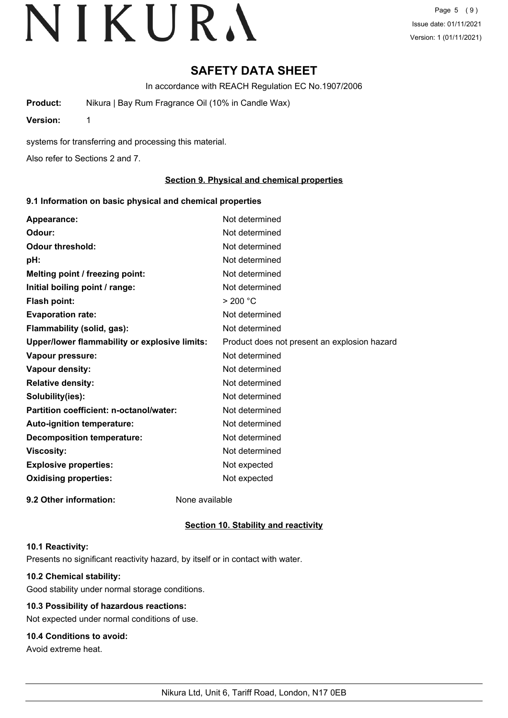# **SAFETY DATA SHEET**

In accordance with REACH Regulation EC No.1907/2006

**Product:** Nikura | Bay Rum Fragrance Oil (10% in Candle Wax)

**Version:** 1

systems for transferring and processing this material.

Also refer to Sections 2 and 7.

# **Section 9. Physical and chemical properties**

# **9.1 Information on basic physical and chemical properties**

| Appearance:                                   | Not determined                               |
|-----------------------------------------------|----------------------------------------------|
| Odour:                                        | Not determined                               |
| <b>Odour threshold:</b>                       | Not determined                               |
| pH:                                           | Not determined                               |
| Melting point / freezing point:               | Not determined                               |
| Initial boiling point / range:                | Not determined                               |
| <b>Flash point:</b>                           | > 200 °C                                     |
| <b>Evaporation rate:</b>                      | Not determined                               |
| Flammability (solid, gas):                    | Not determined                               |
| Upper/lower flammability or explosive limits: | Product does not present an explosion hazard |
| Vapour pressure:                              | Not determined                               |
| Vapour density:                               | Not determined                               |
| <b>Relative density:</b>                      | Not determined                               |
| Solubility(ies):                              | Not determined                               |
| Partition coefficient: n-octanol/water:       | Not determined                               |
| Auto-ignition temperature:                    | Not determined                               |
| <b>Decomposition temperature:</b>             | Not determined                               |
| <b>Viscosity:</b>                             | Not determined                               |
| <b>Explosive properties:</b>                  | Not expected                                 |
| <b>Oxidising properties:</b>                  | Not expected                                 |
| 9.2 Other information:                        | None available                               |

# **Section 10. Stability and reactivity**

### **10.1 Reactivity:**

Presents no significant reactivity hazard, by itself or in contact with water.

# **10.2 Chemical stability:**

Good stability under normal storage conditions.

# **10.3 Possibility of hazardous reactions:**

Not expected under normal conditions of use.

# **10.4 Conditions to avoid:**

Avoid extreme heat.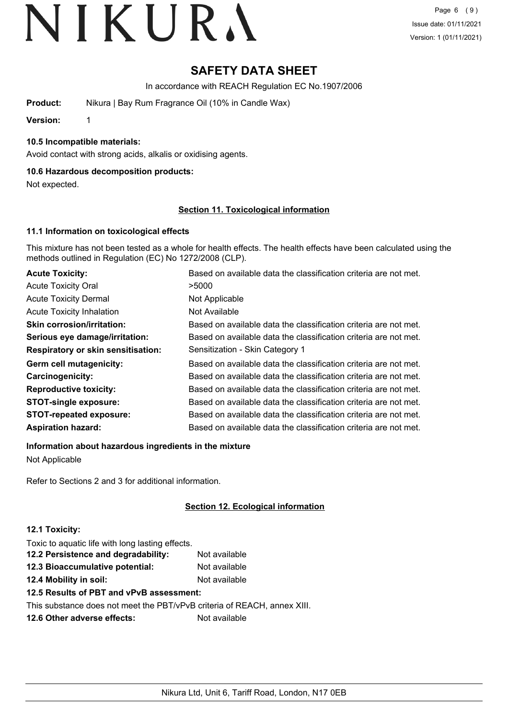# **SAFETY DATA SHEET**

In accordance with REACH Regulation EC No.1907/2006

**Product:** Nikura | Bay Rum Fragrance Oil (10% in Candle Wax)

**Version:** 1

# **10.5 Incompatible materials:**

Avoid contact with strong acids, alkalis or oxidising agents.

# **10.6 Hazardous decomposition products:**

Not expected.

# **Section 11. Toxicological information**

# **11.1 Information on toxicological effects**

This mixture has not been tested as a whole for health effects. The health effects have been calculated using the methods outlined in Regulation (EC) No 1272/2008 (CLP).

| <b>Acute Toxicity:</b>                    | Based on available data the classification criteria are not met. |
|-------------------------------------------|------------------------------------------------------------------|
| <b>Acute Toxicity Oral</b>                | >5000                                                            |
| <b>Acute Toxicity Dermal</b>              | Not Applicable                                                   |
| <b>Acute Toxicity Inhalation</b>          | Not Available                                                    |
| <b>Skin corrosion/irritation:</b>         | Based on available data the classification criteria are not met. |
| Serious eye damage/irritation:            | Based on available data the classification criteria are not met. |
| <b>Respiratory or skin sensitisation:</b> | Sensitization - Skin Category 1                                  |
| Germ cell mutagenicity:                   | Based on available data the classification criteria are not met. |
| Carcinogenicity:                          | Based on available data the classification criteria are not met. |
| <b>Reproductive toxicity:</b>             | Based on available data the classification criteria are not met. |
| <b>STOT-single exposure:</b>              | Based on available data the classification criteria are not met. |
| <b>STOT-repeated exposure:</b>            | Based on available data the classification criteria are not met. |
| <b>Aspiration hazard:</b>                 | Based on available data the classification criteria are not met. |

**Information about hazardous ingredients in the mixture**

Not Applicable

Refer to Sections 2 and 3 for additional information.

# **Section 12. Ecological information**

# **12.1 Toxicity:**

Toxic to aquatic life with long lasting effects.

| 12.2 Persistence and degradability: | Not available |
|-------------------------------------|---------------|
| 12.3 Bioaccumulative potential:     | Not available |
| 12.4 Mobility in soil:              | Not available |

# **12.5 Results of PBT and vPvB assessment:**

This substance does not meet the PBT/vPvB criteria of REACH, annex XIII.

**12.6 Other adverse effects:** Not available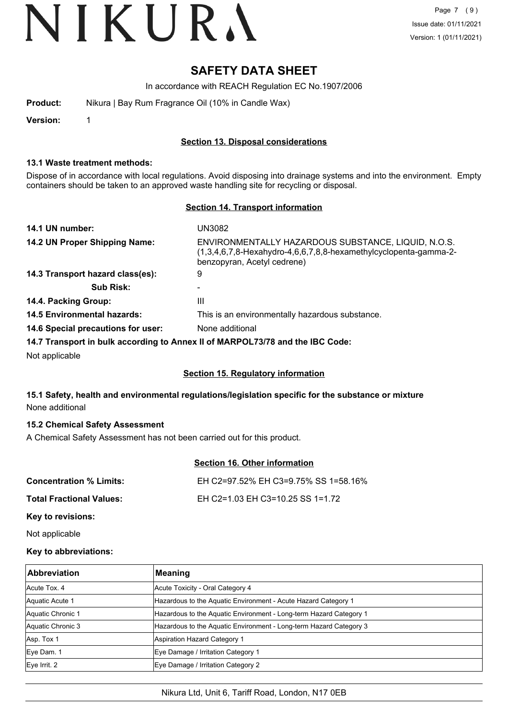# **SAFETY DATA SHEET**

In accordance with REACH Regulation EC No.1907/2006

| Product: | Nikura   Bay Rum Fragrance Oil (10% in Candle Wax) |  |
|----------|----------------------------------------------------|--|
|          |                                                    |  |

**Version:** 1

# **Section 13. Disposal considerations**

## **13.1 Waste treatment methods:**

Dispose of in accordance with local regulations. Avoid disposing into drainage systems and into the environment. Empty containers should be taken to an approved waste handling site for recycling or disposal.

# **Section 14. Transport information**

| 14.1 UN number:                    | UN3082                                                                                                                                                 |
|------------------------------------|--------------------------------------------------------------------------------------------------------------------------------------------------------|
| 14.2 UN Proper Shipping Name:      | ENVIRONMENTALLY HAZARDOUS SUBSTANCE, LIQUID, N.O.S.<br>(1,3,4,6,7,8-Hexahydro-4,6,6,7,8,8-hexamethylcyclopenta-gamma-2-<br>benzopyran, Acetyl cedrene) |
| 14.3 Transport hazard class(es):   | 9                                                                                                                                                      |
| <b>Sub Risk:</b>                   |                                                                                                                                                        |
| 14.4. Packing Group:               | Ш                                                                                                                                                      |
| <b>14.5 Environmental hazards:</b> | This is an environmentally hazardous substance.                                                                                                        |
| 14.6 Special precautions for user: | None additional                                                                                                                                        |
|                                    | 14.7 Transport in bulk according to Annex II of MARPOL73/78 and the IBC Code:                                                                          |
| Not applicable                     |                                                                                                                                                        |

# **Section 15. Regulatory information**

# **15.1 Safety, health and environmental regulations/legislation specific for the substance or mixture** None additional

# **15.2 Chemical Safety Assessment**

A Chemical Safety Assessment has not been carried out for this product.

# **Section 16. Other information**

| <b>Concentration % Limits:</b>  | EH C2=97.52% EH C3=9.75% SS 1=58.16% |
|---------------------------------|--------------------------------------|
| <b>Total Fractional Values:</b> | EH C2=1.03 EH C3=10.25 SS 1=1.72     |
| Key to revisions:               |                                      |

Not applicable

# **Key to abbreviations:**

| <b>Abbreviation</b> | Meaning                                                            |
|---------------------|--------------------------------------------------------------------|
| Acute Tox, 4        | Acute Toxicity - Oral Category 4                                   |
| Aquatic Acute 1     | Hazardous to the Aquatic Environment - Acute Hazard Category 1     |
| Aquatic Chronic 1   | Hazardous to the Aquatic Environment - Long-term Hazard Category 1 |
| Aquatic Chronic 3   | Hazardous to the Aquatic Environment - Long-term Hazard Category 3 |
| Asp. Tox 1          | Aspiration Hazard Category 1                                       |
| Eye Dam. 1          | Eye Damage / Irritation Category 1                                 |
| $Eye$ Irrit. 2      | Eye Damage / Irritation Category 2                                 |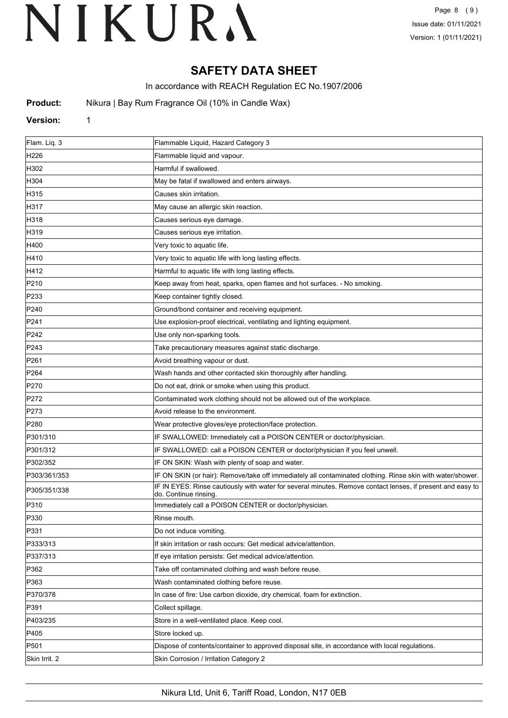# **SAFETY DATA SHEET**

In accordance with REACH Regulation EC No.1907/2006

**Product:** Nikura | Bay Rum Fragrance Oil (10% in Candle Wax)

### **Version:** 1

| Flam. Liq. 3     | Flammable Liquid, Hazard Category 3                                                                                                |
|------------------|------------------------------------------------------------------------------------------------------------------------------------|
| H <sub>226</sub> | Flammable liquid and vapour.                                                                                                       |
| H302             | Harmful if swallowed.                                                                                                              |
| H304             | May be fatal if swallowed and enters airways.                                                                                      |
| H315             | Causes skin irritation.                                                                                                            |
| H317             | May cause an allergic skin reaction.                                                                                               |
| H318             | Causes serious eye damage.                                                                                                         |
| H319             | Causes serious eye irritation.                                                                                                     |
| H400             | Very toxic to aquatic life.                                                                                                        |
| H410             | Very toxic to aquatic life with long lasting effects.                                                                              |
| H412             | Harmful to aquatic life with long lasting effects.                                                                                 |
| P210             | Keep away from heat, sparks, open flames and hot surfaces. - No smoking.                                                           |
| P233             | Keep container tightly closed.                                                                                                     |
| P240             | Ground/bond container and receiving equipment.                                                                                     |
| P241             | Use explosion-proof electrical, ventilating and lighting equipment.                                                                |
| P242             | Use only non-sparking tools.                                                                                                       |
| P243             | Take precautionary measures against static discharge.                                                                              |
| P261             | Avoid breathing vapour or dust.                                                                                                    |
| P <sub>264</sub> | Wash hands and other contacted skin thoroughly after handling.                                                                     |
| P270             | Do not eat, drink or smoke when using this product.                                                                                |
| P272             | Contaminated work clothing should not be allowed out of the workplace.                                                             |
| P273             | Avoid release to the environment.                                                                                                  |
| P280             | Wear protective gloves/eye protection/face protection.                                                                             |
| P301/310         | IF SWALLOWED: Immediately call a POISON CENTER or doctor/physician.                                                                |
| P301/312         | IF SWALLOWED: call a POISON CENTER or doctor/physician if you feel unwell.                                                         |
| P302/352         | IF ON SKIN: Wash with plenty of soap and water.                                                                                    |
| P303/361/353     | IF ON SKIN (or hair): Remove/take off immediately all contaminated clothing. Rinse skin with water/shower.                         |
| P305/351/338     | IF IN EYES: Rinse cautiously with water for several minutes. Remove contact lenses, if present and easy to<br>do. Continue rinsing |
| P310             | Immediately call a POISON CENTER or doctor/physician.                                                                              |
| P330             | Rinse mouth.                                                                                                                       |
| P331             | Do not induce vomiting.                                                                                                            |
| P333/313         | If skin irritation or rash occurs: Get medical advice/attention.                                                                   |
| P337/313         | If eye irritation persists: Get medical advice/attention.                                                                          |
| P362             | Take off contaminated clothing and wash before reuse.                                                                              |
| P363             | Wash contaminated clothing before reuse.                                                                                           |
| P370/378         | In case of fire: Use carbon dioxide, dry chemical, foam for extinction.                                                            |
| P391             | Collect spillage.                                                                                                                  |
| P403/235         | Store in a well-ventilated place. Keep cool.                                                                                       |
| P405             | Store locked up.                                                                                                                   |
| P501             | Dispose of contents/container to approved disposal site, in accordance with local regulations.                                     |
| Skin Irrit. 2    | Skin Corrosion / Irritation Category 2                                                                                             |